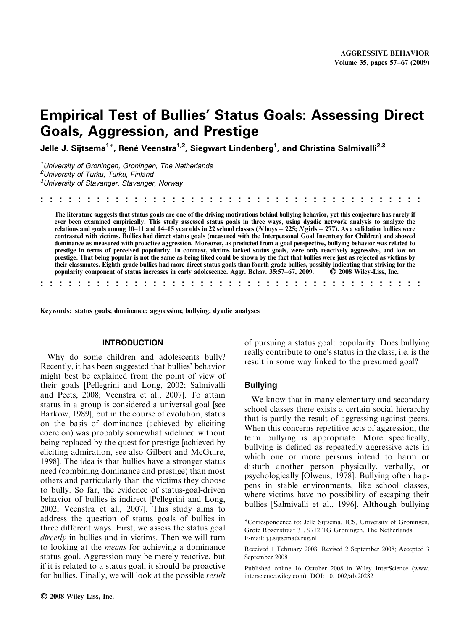# **Empirical Test of Bullies' Status Goals: Assessing Direct Goals, Aggression, and Prestige**

**Jelle J. Sijtsema1, Rene´ Veenstra1,2, Siegwart Lindenberg1 , and Christina Salmivalli2,3**

<sup>1</sup> University of Groningen, Groningen, The Netherlands <sup>2</sup>University of Turku, Turku, Finland <sup>3</sup>University of Stavanger, Stavanger, Norway

::::::::::::: :::::::::::::::: ::::::::::::

The literature suggests that status goals are one of the driving motivations behind bullying behavior, yet this conjecture has rarely if ever been examined empirically. This study assessed status goals in three ways, using dyadic network analysis to analyze the relations and goals among 10–11 and 14–15 year olds in 22 school classes ( $N$  boys = 225;  $N$  girls = 277). As a validation bullies were contrasted with victims. Bullies had direct status goals (measured with the Interpersonal Goal Inventory for Children) and showed dominance as measured with proactive aggression. Moreover, as predicted from a goal perspective, bullying behavior was related to prestige in terms of perceived popularity. In contrast, victims lacked status goals, were only reactively aggressive, and low on prestige. That being popular is not the same as being liked could be shown by the fact that bullies were just as rejected as victims by their classmates. Eighth-grade bullies had more direct status goals than fourth-grade bullies, possibly indicating that striving for the popularity component of status increases in early adolescence. Aggr. Behav. 35:57–67, popularity component of status increases in early adolescence. Aggr. Behav.  $35:57-67$ ,  $2009$ .

::::::::::::: :::::::::::::::: ::::::::::::

Keywords: status goals; dominance; aggression; bullying; dyadic analyses

### INTRODUCTION

Why do some children and adolescents bully? Recently, it has been suggested that bullies' behavior might best be explained from the point of view of their goals [Pellegrini and Long, 2002; Salmivalli and Peets, 2008; Veenstra et al., 2007]. To attain status in a group is considered a universal goal [see Barkow, 1989], but in the course of evolution, status on the basis of dominance (achieved by eliciting coercion) was probably somewhat sidelined without being replaced by the quest for prestige [achieved by eliciting admiration, see also Gilbert and McGuire, 1998]. The idea is that bullies have a stronger status need (combining dominance and prestige) than most others and particularly than the victims they choose to bully. So far, the evidence of status-goal-driven behavior of bullies is indirect [Pellegrini and Long, 2002; Veenstra et al., 2007]. This study aims to address the question of status goals of bullies in three different ways. First, we assess the status goal directly in bullies and in victims. Then we will turn to looking at the means for achieving a dominance status goal. Aggression may be merely reactive, but if it is related to a status goal, it should be proactive for bullies. Finally, we will look at the possible result of pursuing a status goal: popularity. Does bullying really contribute to one's status in the class, i.e. is the result in some way linked to the presumed goal?

# Bullying

We know that in many elementary and secondary school classes there exists a certain social hierarchy that is partly the result of aggressing against peers. When this concerns repetitive acts of aggression, the term bullying is appropriate. More specifically, bullying is defined as repeatedly aggressive acts in which one or more persons intend to harm or disturb another person physically, verbally, or psychologically [Olweus, 1978]. Bullying often happens in stable environments, like school classes, where victims have no possibility of escaping their bullies [Salmivalli et al., 1996]. Although bullying

Correspondence to: Jelle Sijtsema, ICS, University of Groningen, Grote Rozenstraat 31, 9712 TG Groningen, The Netherlands. E-mail: j.j.sijtsema@rug.nl

Received 1 February 2008; Revised 2 September 2008; Accepted 3 September 2008

Published online 16 October 2008 in Wiley InterScience (www. interscience.wiley.com). DOI: 10.1002/ab.20282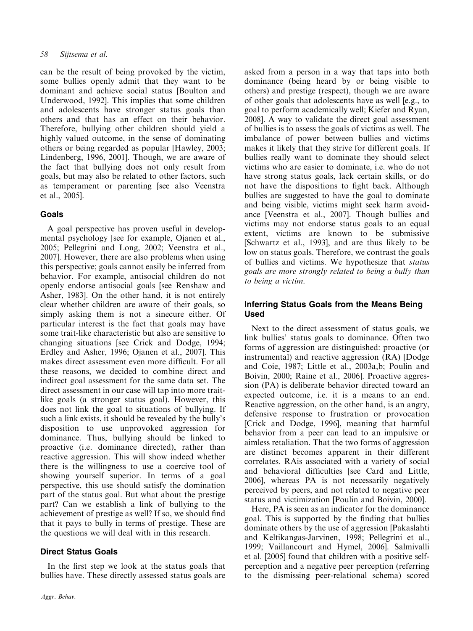can be the result of being provoked by the victim, some bullies openly admit that they want to be dominant and achieve social status [Boulton and Underwood, 1992]. This implies that some children and adolescents have stronger status goals than others and that has an effect on their behavior. Therefore, bullying other children should yield a highly valued outcome, in the sense of dominating others or being regarded as popular [Hawley, 2003; Lindenberg, 1996, 2001]. Though, we are aware of the fact that bullying does not only result from goals, but may also be related to other factors, such as temperament or parenting [see also Veenstra et al., 2005].

# Goals

A goal perspective has proven useful in developmental psychology [see for example, Ojanen et al., 2005; Pellegrini and Long, 2002; Veenstra et al., 2007]. However, there are also problems when using this perspective; goals cannot easily be inferred from behavior. For example, antisocial children do not openly endorse antisocial goals [see Renshaw and Asher, 1983]. On the other hand, it is not entirely clear whether children are aware of their goals, so simply asking them is not a sinecure either. Of particular interest is the fact that goals may have some trait-like characteristic but also are sensitive to changing situations [see Crick and Dodge, 1994; Erdley and Asher, 1996; Ojanen et al., 2007]. This makes direct assessment even more difficult. For all these reasons, we decided to combine direct and indirect goal assessment for the same data set. The direct assessment in our case will tap into more traitlike goals (a stronger status goal). However, this does not link the goal to situations of bullying. If such a link exists, it should be revealed by the bully's disposition to use unprovoked aggression for dominance. Thus, bullying should be linked to proactive (i.e. dominance directed), rather than reactive aggression. This will show indeed whether there is the willingness to use a coercive tool of showing yourself superior. In terms of a goal perspective, this use should satisfy the domination part of the status goal. But what about the prestige part? Can we establish a link of bullying to the achievement of prestige as well? If so, we should find that it pays to bully in terms of prestige. These are the questions we will deal with in this research.

# Direct Status Goals

In the first step we look at the status goals that bullies have. These directly assessed status goals are

asked from a person in a way that taps into both dominance (being heard by or being visible to others) and prestige (respect), though we are aware of other goals that adolescents have as well [e.g., to goal to perform academically well; Kiefer and Ryan, 2008]. A way to validate the direct goal assessment of bullies is to assess the goals of victims as well. The imbalance of power between bullies and victims makes it likely that they strive for different goals. If bullies really want to dominate they should select victims who are easier to dominate, i.e. who do not have strong status goals, lack certain skills, or do not have the dispositions to fight back. Although bullies are suggested to have the goal to dominate and being visible, victims might seek harm avoidance [Veenstra et al., 2007]. Though bullies and victims may not endorse status goals to an equal extent, victims are known to be submissive [Schwartz et al., 1993], and are thus likely to be low on status goals. Therefore, we contrast the goals of bullies and victims. We hypothesize that status goals are more strongly related to being a bully than to being a victim.

# Inferring Status Goals from the Means Being Used

Next to the direct assessment of status goals, we link bullies' status goals to dominance. Often two forms of aggression are distinguished: proactive (or instrumental) and reactive aggression (RA) [Dodge and Coie, 1987; Little et al., 2003a,b; Poulin and Boivin, 2000; Raine et al., 2006]. Proactive aggression (PA) is deliberate behavior directed toward an expected outcome, i.e. it is a means to an end. Reactive aggression, on the other hand, is an angry, defensive response to frustration or provocation [Crick and Dodge, 1996], meaning that harmful behavior from a peer can lead to an impulsive or aimless retaliation. That the two forms of aggression are distinct becomes apparent in their different correlates. RAis associated with a variety of social and behavioral difficulties [see Card and Little, 2006], whereas PA is not necessarily negatively perceived by peers, and not related to negative peer status and victimization [Poulin and Boivin, 2000].

Here, PA is seen as an indicator for the dominance goal. This is supported by the finding that bullies dominate others by the use of aggression [Pakaslahti and Keltikangas-Jarvinen, 1998; Pellegrini et al., 1999; Vaillancourt and Hymel, 2006]. Salmivalli et al. [2005] found that children with a positive selfperception and a negative peer perception (referring to the dismissing peer-relational schema) scored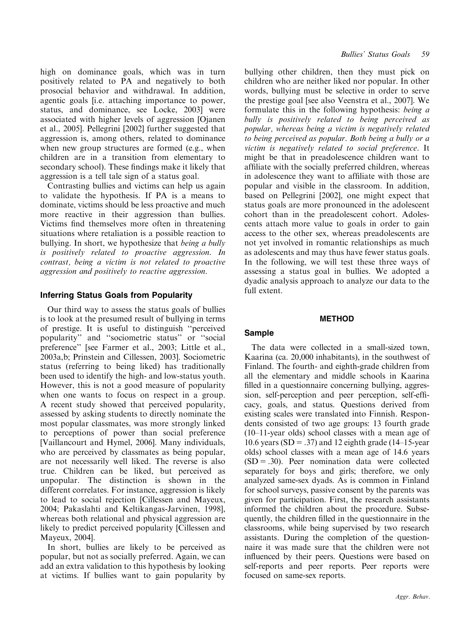high on dominance goals, which was in turn positively related to PA and negatively to both prosocial behavior and withdrawal. In addition, agentic goals [i.e. attaching importance to power, status, and dominance, see Locke, 2003] were associated with higher levels of aggression [Ojanen et al., 2005]. Pellegrini [2002] further suggested that aggression is, among others, related to dominance when new group structures are formed (e.g., when children are in a transition from elementary to secondary school). These findings make it likely that aggression is a tell tale sign of a status goal.

Contrasting bullies and victims can help us again to validate the hypothesis. If PA is a means to dominate, victims should be less proactive and much more reactive in their aggression than bullies. Victims find themselves more often in threatening situations where retaliation is a possible reaction to bullying. In short, we hypothesize that being a bully is positively related to proactive aggression. In contrast, being a victim is not related to proactive aggression and positively to reactive aggression.

# Inferring Status Goals from Popularity

Our third way to assess the status goals of bullies is to look at the presumed result of bullying in terms of prestige. It is useful to distinguish ''perceived popularity'' and ''sociometric status'' or ''social preference'' [see Farmer et al., 2003; Little et al., 2003a,b; Prinstein and Cillessen, 2003]. Sociometric status (referring to being liked) has traditionally been used to identify the high- and low-status youth. However, this is not a good measure of popularity when one wants to focus on respect in a group. A recent study showed that perceived popularity, assessed by asking students to directly nominate the most popular classmates, was more strongly linked to perceptions of power than social preference [Vaillancourt and Hymel, 2006]. Many individuals, who are perceived by classmates as being popular, are not necessarily well liked. The reverse is also true. Children can be liked, but perceived as unpopular. The distinction is shown in the different correlates. For instance, aggression is likely to lead to social rejection [Cillessen and Mayeux, 2004; Pakaslahti and Keltikangas-Jarvinen, 1998], whereas both relational and physical aggression are likely to predict perceived popularity [Cillessen and Mayeux, 2004].

In short, bullies are likely to be perceived as popular, but not as socially preferred. Again, we can add an extra validation to this hypothesis by looking at victims. If bullies want to gain popularity by bullying other children, then they must pick on children who are neither liked nor popular. In other words, bullying must be selective in order to serve the prestige goal [see also Veenstra et al., 2007]. We formulate this in the following hypothesis: being a bully is positively related to being perceived as popular, whereas being a victim is negatively related to being perceived as popular. Both being a bully or a victim is negatively related to social preference. It might be that in preadolescence children want to affiliate with the socially preferred children, whereas in adolescence they want to affiliate with those are popular and visible in the classroom. In addition, based on Pellegrini [2002], one might expect that status goals are more pronounced in the adolescent cohort than in the preadolescent cohort. Adolescents attach more value to goals in order to gain access to the other sex, whereas preadolescents are not yet involved in romantic relationships as much as adolescents and may thus have fewer status goals. In the following, we will test these three ways of assessing a status goal in bullies. We adopted a dyadic analysis approach to analyze our data to the full extent.

# METHOD

# Sample

The data were collected in a small-sized town, Kaarina (ca. 20,000 inhabitants), in the southwest of Finland. The fourth- and eighth-grade children from all the elementary and middle schools in Kaarina filled in a questionnaire concerning bullying, aggression, self-perception and peer perception, self-efficacy, goals, and status. Questions derived from existing scales were translated into Finnish. Respondents consisted of two age groups: 13 fourth grade (10–11-year olds) school classes with a mean age of 10.6 years (SD = .37) and 12 eighth grade (14–15-year olds) school classes with a mean age of 14.6 years  $(SD = .30)$ . Peer nomination data were collected separately for boys and girls; therefore, we only analyzed same-sex dyads. As is common in Finland for school surveys, passive consent by the parents was given for participation. First, the research assistants informed the children about the procedure. Subsequently, the children filled in the questionnaire in the classrooms, while being supervised by two research assistants. During the completion of the questionnaire it was made sure that the children were not influenced by their peers. Questions were based on self-reports and peer reports. Peer reports were focused on same-sex reports.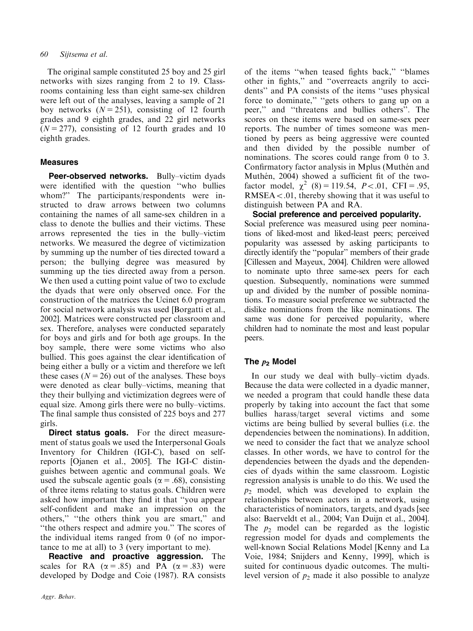The original sample constituted 25 boy and 25 girl networks with sizes ranging from 2 to 19. Classrooms containing less than eight same-sex children were left out of the analyses, leaving a sample of 21 boy networks  $(N = 251)$ , consisting of 12 fourth grades and 9 eighth grades, and 22 girl networks  $(N = 277)$ , consisting of 12 fourth grades and 10 eighth grades.

# Measures

Peer-observed networks. Bully–victim dyads were identified with the question ''who bullies whom?" The participants/respondents were instructed to draw arrows between two columns containing the names of all same-sex children in a class to denote the bullies and their victims. These arrows represented the ties in the bully–victim networks. We measured the degree of victimization by summing up the number of ties directed toward a person; the bullying degree was measured by summing up the ties directed away from a person. We then used a cutting point value of two to exclude the dyads that were only observed once. For the construction of the matrices the Ucinet 6.0 program for social network analysis was used [Borgatti et al., 2002]. Matrices were constructed per classroom and sex. Therefore, analyses were conducted separately for boys and girls and for both age groups. In the boy sample, there were some victims who also bullied. This goes against the clear identification of being either a bully or a victim and therefore we left these cases ( $N = 26$ ) out of the analyses. These boys were denoted as clear bully–victims, meaning that they their bullying and victimization degrees were of equal size. Among girls there were no bully–victims. The final sample thus consisted of 225 boys and 277 girls.

**Direct status goals.** For the direct measurement of status goals we used the Interpersonal Goals Inventory for Children (IGI-C), based on selfreports [Ojanen et al., 2005]. The IGI-C distinguishes between agentic and communal goals. We used the subscale agentic goals ( $\alpha = .68$ ), consisting of three items relating to status goals. Children were asked how important they find it that ''you appear self-confident and make an impression on the others,'' ''the others think you are smart,'' and ''the others respect and admire you.'' The scores of the individual items ranged from 0 (of no importance to me at all) to 3 (very important to me).

Reactive and proactive aggression. The scales for RA  $(\alpha = .85)$  and PA  $(\alpha = .83)$  were developed by Dodge and Coie (1987). RA consists of the items ''when teased fights back,'' ''blames other in fights,'' and ''overreacts angrily to accidents'' and PA consists of the items ''uses physical force to dominate," "gets others to gang up on a peer,'' and ''threatens and bullies others''. The scores on these items were based on same-sex peer reports. The number of times someone was mentioned by peers as being aggressive were counted and then divided by the possible number of nominations. The scores could range from 0 to 3. Confirmatory factor analysis in Mplus (Muthén and Muthén, 2004) showed a sufficient fit of the twofactor model,  $\chi^2$  (8) = 119.54, *P*<.01, CFI = .95,  $RMSEA < .01$ , thereby showing that it was useful to distinguish between PA and RA.

Social preference and perceived popularity. Social preference was measured using peer nominations of liked-most and liked-least peers; perceived

popularity was assessed by asking participants to directly identify the ''popular'' members of their grade [Cillessen and Mayeux, 2004]. Children were allowed to nominate upto three same-sex peers for each question. Subsequently, nominations were summed up and divided by the number of possible nominations. To measure social preference we subtracted the dislike nominations from the like nominations. The same was done for perceived popularity, where children had to nominate the most and least popular peers.

# The  $p_2$  Model

In our study we deal with bully–victim dyads. Because the data were collected in a dyadic manner, we needed a program that could handle these data properly by taking into account the fact that some bullies harass/target several victims and some victims are being bullied by several bullies (i.e. the dependencies between the nominations). In addition, we need to consider the fact that we analyze school classes. In other words, we have to control for the dependencies between the dyads and the dependencies of dyads within the same classroom. Logistic regression analysis is unable to do this. We used the  $p_2$  model, which was developed to explain the relationships between actors in a network, using characteristics of nominators, targets, and dyads [see also: Baerveldt et al., 2004; Van Duijn et al., 2004]. The  $p_2$  model can be regarded as the logistic regression model for dyads and complements the well-known Social Relations Model [Kenny and La Voie, 1984; Snijders and Kenny, 1999], which is suited for continuous dyadic outcomes. The multilevel version of  $p_2$  made it also possible to analyze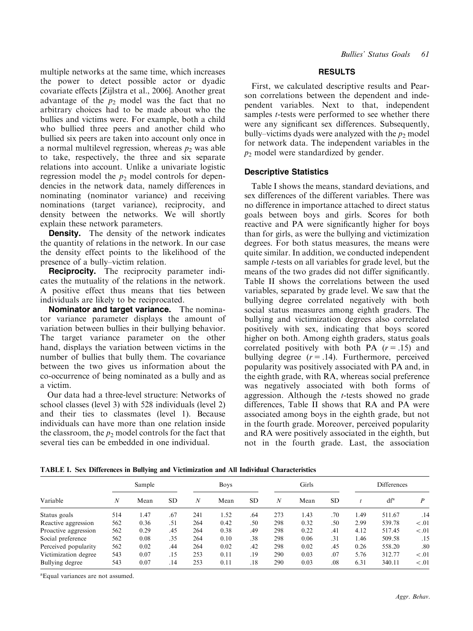multiple networks at the same time, which increases the power to detect possible actor or dyadic covariate effects [Zijlstra et al., 2006]. Another great advantage of the  $p_2$  model was the fact that no arbitrary choices had to be made about who the bullies and victims were. For example, both a child who bullied three peers and another child who bullied six peers are taken into account only once in a normal multilevel regression, whereas  $p_2$  was able to take, respectively, the three and six separate relations into account. Unlike a univariate logistic regression model the  $p_2$  model controls for dependencies in the network data, namely differences in nominating (nominator variance) and receiving nominations (target variance), reciprocity, and density between the networks. We will shortly explain these network parameters.

**Density.** The density of the network indicates the quantity of relations in the network. In our case the density effect points to the likelihood of the presence of a bully–victim relation.

**Reciprocity.** The reciprocity parameter indicates the mutuality of the relations in the network. A positive effect thus means that ties between individuals are likely to be reciprocated.

Nominator and target variance. The nominator variance parameter displays the amount of variation between bullies in their bullying behavior. The target variance parameter on the other hand, displays the variation between victims in the number of bullies that bully them. The covariance between the two gives us information about the co-occurrence of being nominated as a bully and as a victim.

Our data had a three-level structure: Networks of school classes (level 3) with 528 individuals (level 2) and their ties to classmates (level 1). Because individuals can have more than one relation inside the classroom, the  $p_2$  model controls for the fact that several ties can be embedded in one individual.

# RESULTS

First, we calculated descriptive results and Pearson correlations between the dependent and independent variables. Next to that, independent samples *t*-tests were performed to see whether there were any significant sex differences. Subsequently, bully–victims dyads were analyzed with the  $p_2$  model for network data. The independent variables in the  $p_2$  model were standardized by gender.

# Descriptive Statistics

Table I shows the means, standard deviations, and sex differences of the different variables. There was no difference in importance attached to direct status goals between boys and girls. Scores for both reactive and PA were significantly higher for boys than for girls, as were the bullying and victimization degrees. For both status measures, the means were quite similar. In addition, we conducted independent sample t-tests on all variables for grade level, but the means of the two grades did not differ significantly. Table II shows the correlations between the used variables, separated by grade level. We saw that the bullying degree correlated negatively with both social status measures among eighth graders. The bullying and victimization degrees also correlated positively with sex, indicating that boys scored higher on both. Among eighth graders, status goals correlated positively with both PA  $(r = .15)$  and bullying degree  $(r = .14)$ . Furthermore, perceived popularity was positively associated with PA and, in the eighth grade, with RA, whereas social preference was negatively associated with both forms of aggression. Although the t-tests showed no grade differences, Table II shows that RA and PA were associated among boys in the eighth grade, but not in the fourth grade. Moreover, perceived popularity and RA were positively associated in the eighth, but not in the fourth grade. Last, the association

TABLE I. Sex Differences in Bullying and Victimization and All Individual Characteristics

| Variable             | Sample |      | <b>Boys</b> |     | Girls |           | <b>Differences</b> |      |           |      |                 |        |
|----------------------|--------|------|-------------|-----|-------|-----------|--------------------|------|-----------|------|-----------------|--------|
|                      | N      | Mean | <b>SD</b>   | N   | Mean  | <b>SD</b> | N                  | Mean | <b>SD</b> |      | df <sup>a</sup> | D      |
| Status goals         | 514    | 1.47 | .67         | 241 | 1.52  | .64       | 273                | 1.43 | .70       | . 49 | 511.67          | .14    |
| Reactive aggression  | 562    | 0.36 | .51         | 264 | 0.42  | .50       | 298                | 0.32 | .50       | 2.99 | 539.78          | < 0.01 |
| Proactive aggression | 562    | 0.29 | .45         | 264 | 0.38  | .49       | 298                | 0.22 | .41       | 4.12 | 517.45          | < 0.01 |
| Social preference    | 562    | 0.08 | .35         | 264 | 0.10  | .38       | 298                | 0.06 | .31       | 1.46 | 509.58          | .15    |
| Perceived popularity | 562    | 0.02 | .44         | 264 | 0.02  | .42       | 298                | 0.02 | .45       | 0.26 | 558.20          | .80    |
| Victimization degree | 543    | 0.07 | .15         | 253 | 0.11  | .19       | 290                | 0.03 | .07       | 5.76 | 312.77          | < 0.01 |
| Bullying degree      | 543    | 0.07 | .14         | 253 | 0.11  | .18       | 290                | 0.03 | .08       | 6.31 | 340.11          | < 0.01 |

a Equal variances are not assumed.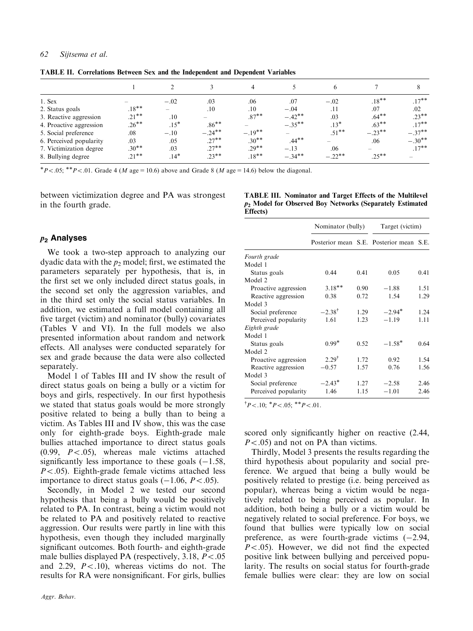TABLE II. Correlations Between Sex and the Independent and Dependent Variables

|                         |          |                          |           |           |                          | 6        |           |           |
|-------------------------|----------|--------------------------|-----------|-----------|--------------------------|----------|-----------|-----------|
| $1.$ Sex                |          | $-.02$                   | .03       | .06       | .07                      | $-.02$   | $.18***$  | $.17***$  |
| 2. Status goals         | $.18***$ | $\overline{\phantom{0}}$ | .10       | $.10\,$   | $-.04$                   | .11      | .07       | .02       |
| 3. Reactive aggression  | $.21***$ | .10                      |           | $.87***$  | $-.42**$                 | .03      | $.64***$  | $.23***$  |
| 4. Proactive aggression | $.26***$ | $.15*$                   | $.86***$  |           | $-.35***$                | $.13*$   | $.63***$  | $17***$   |
| 5. Social preference    | $.08\,$  | $-.10$                   | $-.24***$ | $-.19***$ | $\overline{\phantom{0}}$ | $.51***$ | $-.23***$ | $-.37***$ |
| 6. Perceived popularity | .03      | .05                      | $.27***$  | $.30**$   | $.44***$                 |          | .06       | $-.30**$  |
| 7. Victimization degree | $.30***$ | .03                      | $.27***$  | $.29***$  | $-.13$                   | .06      | -         | $.17***$  |
| 8. Bullying degree      | $21***$  | $.14*$                   | $.23***$  | $.18***$  | $-.34***$                | $-.22**$ | $.25***$  |           |
|                         |          |                          |           |           |                          |          |           |           |

\* $P < .05$ ; \*\* $P < .01$ . Grade 4 (*M* age = 10.6) above and Grade 8 (*M* age = 14.6) below the diagonal.

between victimization degree and PA was strongest in the fourth grade.

#### $p_2$  Analyses

We took a two-step approach to analyzing our dyadic data with the  $p_2$  model; first, we estimated the parameters separately per hypothesis, that is, in the first set we only included direct status goals, in the second set only the aggression variables, and in the third set only the social status variables. In addition, we estimated a full model containing all five target (victim) and nominator (bully) covariates (Tables V and VI). In the full models we also presented information about random and network effects. All analyses were conducted separately for sex and grade because the data were also collected separately.

Model 1 of Tables III and IV show the result of direct status goals on being a bully or a victim for boys and girls, respectively. In our first hypothesis we stated that status goals would be more strongly positive related to being a bully than to being a victim. As Tables III and IV show, this was the case only for eighth-grade boys. Eighth-grade male bullies attached importance to direct status goals  $(0.99, P < .05)$ , whereas male victims attached significantly less importance to these goals  $(-1.58,$  $P < .05$ ). Eighth-grade female victims attached less importance to direct status goals  $(-1.06, P < .05)$ .

Secondly, in Model 2 we tested our second hypothesis that being a bully would be positively related to PA. In contrast, being a victim would not be related to PA and positively related to reactive aggression. Our results were partly in line with this hypothesis, even though they included marginally significant outcomes. Both fourth- and eighth-grade male bullies displayed PA (respectively, 3.18,  $P < .05$ ) and 2.29,  $P < .10$ ), whereas victims do not. The results for RA were nonsignificant. For girls, bullies

|          | <b>TABLE III. Nominator and Target Effects of the Multilevel</b>     |  |  |
|----------|----------------------------------------------------------------------|--|--|
|          | p <sub>2</sub> Model for Observed Boy Networks (Separately Estimated |  |  |
| Effects) |                                                                      |  |  |

|                      | Nominator (bully) |      | Target (victim)                         |      |  |
|----------------------|-------------------|------|-----------------------------------------|------|--|
|                      |                   |      | Posterior mean S.E. Posterior mean S.E. |      |  |
| Fourth grade         |                   |      |                                         |      |  |
| Model 1              |                   |      |                                         |      |  |
| Status goals         | 0.44              | 0.41 | 0.05                                    | 0.41 |  |
| Model 2              |                   |      |                                         |      |  |
| Proactive aggression | $3.18***$         | 0.90 | $-1.88$                                 | 1.51 |  |
| Reactive aggression  | 0.38              | 0.72 | 1.54                                    | 1.29 |  |
| Model 3              |                   |      |                                         |      |  |
| Social preference    | $-2.38^{\dagger}$ | 1.29 | $-2.94*$                                | 1.24 |  |
| Perceived popularity | 1.61              | 1.23 | $-1.19$                                 | 1.11 |  |
| Eighth grade         |                   |      |                                         |      |  |
| Model 1              |                   |      |                                         |      |  |
| Status goals         | $0.99*$           | 0.52 | $-1.58*$                                | 0.64 |  |
| Model 2              |                   |      |                                         |      |  |
| Proactive aggression | $2.29^{\dagger}$  | 1.72 | 0.92                                    | 1.54 |  |
| Reactive aggression  | $-0.57$           | 1.57 | 0.76                                    | 1.56 |  |
| Model 3              |                   |      |                                         |      |  |
| Social preference    | $-2.43*$          | 1.27 | $-2.58$                                 | 2.46 |  |
| Perceived popularity | 1.46              | 1.15 | $-1.01$                                 | 2.46 |  |

 $^{\dagger}P < .10;$   $^{\ast}P < .05;$   $^{\ast\ast}P < .01$ .

scored only significantly higher on reactive (2.44,  $P < .05$ ) and not on PA than victims.

Thirdly, Model 3 presents the results regarding the third hypothesis about popularity and social preference. We argued that being a bully would be positively related to prestige (i.e. being perceived as popular), whereas being a victim would be negatively related to being perceived as popular. In addition, both being a bully or a victim would be negatively related to social preference. For boys, we found that bullies were typically low on social preference, as were fourth-grade victims  $(-2.94,$  $P < .05$ ). However, we did not find the expected positive link between bullying and perceived popularity. The results on social status for fourth-grade female bullies were clear: they are low on social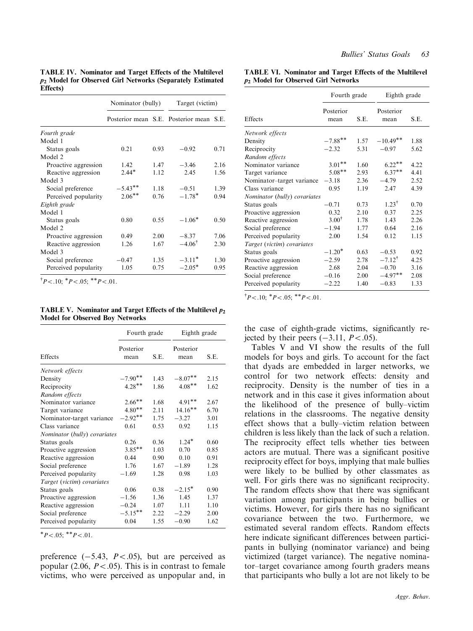|                      | Nominator (bully) |      | Target (victim)                         |      |  |
|----------------------|-------------------|------|-----------------------------------------|------|--|
|                      |                   |      | Posterior mean S.E. Posterior mean S.E. |      |  |
| Fourth grade         |                   |      |                                         |      |  |
| Model 1              |                   |      |                                         |      |  |
| Status goals         | 0.21              | 0.93 | $-0.92$                                 | 0.71 |  |
| Model 2              |                   |      |                                         |      |  |
| Proactive aggression | 1.42              | 1.47 | $-3.46$                                 | 2.16 |  |
| Reactive aggression  | $2.44*$           | 1.12 | 2.45                                    | 1.56 |  |
| Model 3              |                   |      |                                         |      |  |
| Social preference    | $-5.43***$        | 1.18 | $-0.51$                                 | 1.39 |  |
| Perceived popularity | $2.06***$         | 0.76 | $-1.78*$                                | 0.94 |  |
| Eighth grade         |                   |      |                                         |      |  |
| Model 1              |                   |      |                                         |      |  |
| Status goals         | 0.80              | 0.55 | $-1.06*$                                | 0.50 |  |
| Model 2              |                   |      |                                         |      |  |
| Proactive aggression | 0.49              | 2.00 | $-8.37$                                 | 7.06 |  |
| Reactive aggression  | 1.26              | 1.67 | $-4.06^{\dagger}$                       | 2.30 |  |
| Model 3              |                   |      |                                         |      |  |
| Social preference    | $-0.47$           | 1.35 | $-3.11*$                                | 1.30 |  |
| Perceived popularity | 1.05              | 0.75 | $-2.05*$                                | 0.95 |  |

TABLE IV. Nominator and Target Effects of the Multilevel  $p_2$  Model for Observed Girl Networks (Separately Estimated Effects)

 $^{\dagger}P < .10;$   $^{\ast}P < .05;$   $^{\ast\ast}P < .01$ .

TABLE V. Nominator and Target Effects of the Multilevel  $p_2$ Model for Observed Boy Networks

|                              | Fourth grade      |      | Eighth grade      |      |  |
|------------------------------|-------------------|------|-------------------|------|--|
| Effects                      | Posterior<br>mean | S.E. | Posterior<br>mean | S.E. |  |
| Network effects              |                   |      |                   |      |  |
| Density                      | $-7.90**$         | 1.43 | $-8.07**$         | 2.15 |  |
| Reciprocity                  | $4.28***$         | 1.86 | $4.08***$         | 1.62 |  |
| Random effects               |                   |      |                   |      |  |
| Nominator variance           | $2.66***$         | 1.68 | $4.91**$          | 2.67 |  |
| Target variance              | $4.80**$          | 2.11 | $14.16***$        | 6.70 |  |
| Nominator-target variance    | $-2.92**$         | 1.75 | $-3.27$           | 3.01 |  |
| Class variance               | 0.61              | 0.53 | 0.92              | 1.15 |  |
| Nominator (bully) covariates |                   |      |                   |      |  |
| Status goals                 | 0.26              | 0.36 | $1.24*$           | 0.60 |  |
| Proactive aggression         | $3.85***$         | 1.03 | 0.70              | 0.85 |  |
| Reactive aggression          | 0.44              | 0.90 | 0.10              | 0.91 |  |
| Social preference            | 1.76              | 1.67 | $-1.89$           | 1.28 |  |
| Perceived popularity         | $-1.69$           | 1.28 | 0.98              | 1.03 |  |
| Target (victim) covariates   |                   |      |                   |      |  |
| Status goals                 | 0.06              | 0.38 | $-2.15*$          | 0.90 |  |
| Proactive aggression         | $-1.56$           | 1.36 | 1.45              | 1.37 |  |
| Reactive aggression          | $-0.24$           | 1.07 | 1.11              | 1.10 |  |
| Social preference            | $-5.15***$        | 2.22 | $-2.29$           | 2.00 |  |
| Perceived popularity         | 0.04              | 1.55 | $-0.90$           | 1.62 |  |

 $*P<0.05;$   $*P<0.01$ .

preference  $(-5.43, P < .05)$ , but are perceived as popular (2.06,  $P < .05$ ). This is in contrast to female victims, who were perceived as unpopular and, in

TABLE VI. Nominator and Target Effects of the Multilevel  $p_2$  Model for Observed Girl Networks

|                              | Fourth grade      |      | Eighth grade      |      |
|------------------------------|-------------------|------|-------------------|------|
| Effects                      | Posterior<br>mean | S.E. | Posterior<br>mean | S.E. |
|                              |                   |      |                   |      |
| Network effects              |                   |      |                   |      |
| Density                      | $-7.88***$        | 1.57 | $-10.49**$        | 1.88 |
| Reciprocity                  | $-2.32$           | 5.31 | $-0.97$           | 5.62 |
| Random effects               |                   |      |                   |      |
| Nominator variance           | $3.01**$          | 1.60 | $6.22**$          | 4.22 |
| Target variance              | $5.08**$          | 2.93 | $6.37***$         | 4.41 |
| Nominator-target variance    | $-3.18$           | 2.36 | $-4.79$           | 2.52 |
| Class variance               | 0.95              | 1.19 | 2.47              | 4.39 |
| Nominator (bully) covariates |                   |      |                   |      |
| Status goals                 | $-0.71$           | 0.73 | $1.23^{\dagger}$  | 0.70 |
| Proactive aggression         | 0.32              | 2.10 | 0.37              | 2.25 |
| Reactive aggression          | $3.00^{\dagger}$  | 1.78 | 1.43              | 2.26 |
| Social preference            | $-1.94$           | 1.77 | 0.64              | 2.16 |
| Perceived popularity         | 2.00              | 1.54 | 0.12              | 1.15 |
| Target (victim) covariates   |                   |      |                   |      |
| Status goals                 | $-1.20*$          | 0.63 | $-0.53$           | 0.92 |
| Proactive aggression         | $-2.59$           | 2.78 | $-7.12^{\dagger}$ | 4.25 |
| Reactive aggression          | 2.68              | 2.04 | $-0.70$           | 3.16 |
| Social preference            | $-0.16$           | 2.00 | $-4.97**$         | 2.08 |
| Perceived popularity         | $-2.22$           | 1.40 | $-0.83$           | 1.33 |

 $^{\dagger}P < .10;$   $^{\ast}P < .05;$   $^{\ast\ast}P < .01$ .

the case of eighth-grade victims, significantly rejected by their peers  $(-3.11, P < .05)$ .

Tables V and VI show the results of the full models for boys and girls. To account for the fact that dyads are embedded in larger networks, we control for two network effects: density and reciprocity. Density is the number of ties in a network and in this case it gives information about the likelihood of the presence of bully–victim relations in the classrooms. The negative density effect shows that a bully–victim relation between children is less likely than the lack of such a relation. The reciprocity effect tells whether ties between actors are mutual. There was a significant positive reciprocity effect for boys, implying that male bullies were likely to be bullied by other classmates as well. For girls there was no significant reciprocity. The random effects show that there was significant variation among participants in being bullies or victims. However, for girls there has no significant covariance between the two. Furthermore, we estimated several random effects. Random effects here indicate significant differences between participants in bullying (nominator variance) and being victimized (target variance). The negative nominator–target covariance among fourth graders means that participants who bully a lot are not likely to be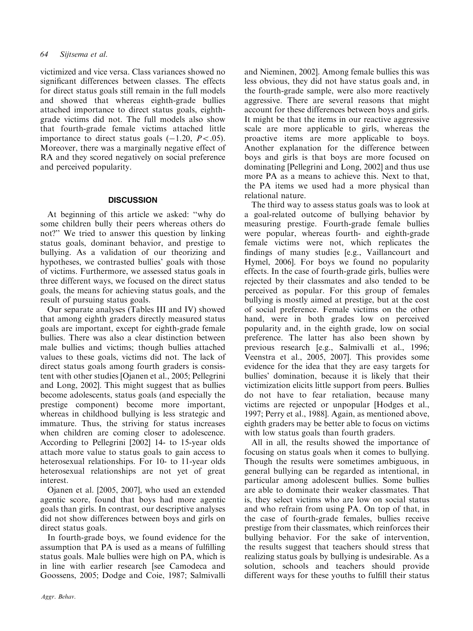victimized and vice versa. Class variances showed no significant differences between classes. The effects for direct status goals still remain in the full models and showed that whereas eighth-grade bullies attached importance to direct status goals, eighthgrade victims did not. The full models also show that fourth-grade female victims attached little importance to direct status goals  $(-1.20, P<.05)$ . Moreover, there was a marginally negative effect of RA and they scored negatively on social preference and perceived popularity.

## **DISCUSSION**

At beginning of this article we asked: ''why do some children bully their peers whereas others do not?'' We tried to answer this question by linking status goals, dominant behavior, and prestige to bullying. As a validation of our theorizing and hypotheses, we contrasted bullies' goals with those of victims. Furthermore, we assessed status goals in three different ways, we focused on the direct status goals, the means for achieving status goals, and the result of pursuing status goals.

Our separate analyses (Tables III and IV) showed that among eighth graders directly measured status goals are important, except for eighth-grade female bullies. There was also a clear distinction between male bullies and victims; though bullies attached values to these goals, victims did not. The lack of direct status goals among fourth graders is consistent with other studies [Ojanen et al., 2005; Pellegrini and Long, 2002]. This might suggest that as bullies become adolescents, status goals (and especially the prestige component) become more important, whereas in childhood bullying is less strategic and immature. Thus, the striving for status increases when children are coming closer to adolescence. According to Pellegrini [2002] 14- to 15-year olds attach more value to status goals to gain access to heterosexual relationships. For 10- to 11-year olds heterosexual relationships are not yet of great interest.

Ojanen et al. [2005, 2007], who used an extended agentic score, found that boys had more agentic goals than girls. In contrast, our descriptive analyses did not show differences between boys and girls on direct status goals.

In fourth-grade boys, we found evidence for the assumption that PA is used as a means of fulfilling status goals. Male bullies were high on PA, which is in line with earlier research [see Camodeca and Goossens, 2005; Dodge and Coie, 1987; Salmivalli

and Nieminen, 2002]. Among female bullies this was less obvious, they did not have status goals and, in the fourth-grade sample, were also more reactively aggressive. There are several reasons that might account for these differences between boys and girls. It might be that the items in our reactive aggressive scale are more applicable to girls, whereas the proactive items are more applicable to boys. Another explanation for the difference between boys and girls is that boys are more focused on dominating [Pellegrini and Long, 2002] and thus use more PA as a means to achieve this. Next to that, the PA items we used had a more physical than relational nature.

The third way to assess status goals was to look at a goal-related outcome of bullying behavior by measuring prestige. Fourth-grade female bullies were popular, whereas fourth- and eighth-grade female victims were not, which replicates the findings of many studies [e.g., Vaillancourt and Hymel, 2006]. For boys we found no popularity effects. In the case of fourth-grade girls, bullies were rejected by their classmates and also tended to be perceived as popular. For this group of females bullying is mostly aimed at prestige, but at the cost of social preference. Female victims on the other hand, were in both grades low on perceived popularity and, in the eighth grade, low on social preference. The latter has also been shown by previous research [e.g., Salmivalli et al., 1996; Veenstra et al., 2005, 2007]. This provides some evidence for the idea that they are easy targets for bullies' domination, because it is likely that their victimization elicits little support from peers. Bullies do not have to fear retaliation, because many victims are rejected or unpopular [Hodges et al., 1997; Perry et al., 1988]. Again, as mentioned above, eighth graders may be better able to focus on victims with low status goals than fourth graders.

All in all, the results showed the importance of focusing on status goals when it comes to bullying. Though the results were sometimes ambiguous, in general bullying can be regarded as intentional, in particular among adolescent bullies. Some bullies are able to dominate their weaker classmates. That is, they select victims who are low on social status and who refrain from using PA. On top of that, in the case of fourth-grade females, bullies receive prestige from their classmates, which reinforces their bullying behavior. For the sake of intervention, the results suggest that teachers should stress that realizing status goals by bullying is undesirable. As a solution, schools and teachers should provide different ways for these youths to fulfill their status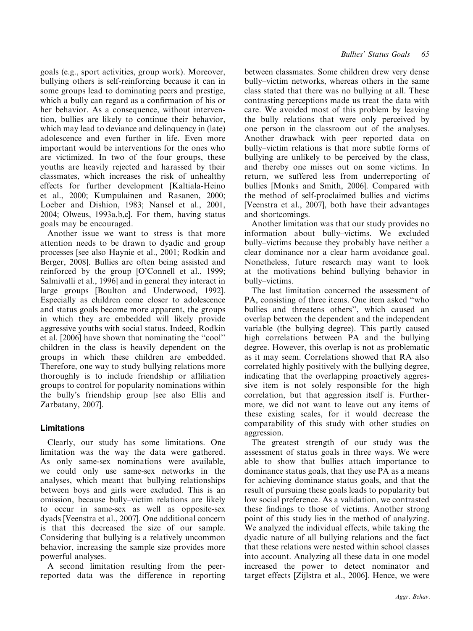goals (e.g., sport activities, group work). Moreover, bullying others is self-reinforcing because it can in some groups lead to dominating peers and prestige, which a bully can regard as a confirmation of his or her behavior. As a consequence, without intervention, bullies are likely to continue their behavior, which may lead to deviance and delinquency in (late) adolescence and even further in life. Even more important would be interventions for the ones who are victimized. In two of the four groups, these youths are heavily rejected and harassed by their classmates, which increases the risk of unhealthy effects for further development [Kaltiala-Heino et al., 2000; Kumpulainen and Rasanen, 2000; Loeber and Dishion, 1983; Nansel et al., 2001, 2004; Olweus, 1993a,b,c]. For them, having status goals may be encouraged.

Another issue we want to stress is that more attention needs to be drawn to dyadic and group processes [see also Haynie et al., 2001; Rodkin and Berger, 2008]. Bullies are often being assisted and reinforced by the group [O'Connell et al., 1999; Salmivalli et al., 1996] and in general they interact in large groups [Boulton and Underwood, 1992]. Especially as children come closer to adolescence and status goals become more apparent, the groups in which they are embedded will likely provide aggressive youths with social status. Indeed, Rodkin et al. [2006] have shown that nominating the ''cool'' children in the class is heavily dependent on the groups in which these children are embedded. Therefore, one way to study bullying relations more thoroughly is to include friendship or affiliation groups to control for popularity nominations within the bully's friendship group [see also Ellis and Zarbatany, 2007].

# Limitations

Clearly, our study has some limitations. One limitation was the way the data were gathered. As only same-sex nominations were available, we could only use same-sex networks in the analyses, which meant that bullying relationships between boys and girls were excluded. This is an omission, because bully–victim relations are likely to occur in same-sex as well as opposite-sex dyads [Veenstra et al., 2007]. One additional concern is that this decreased the size of our sample. Considering that bullying is a relatively uncommon behavior, increasing the sample size provides more powerful analyses.

A second limitation resulting from the peerreported data was the difference in reporting between classmates. Some children drew very dense bully–victim networks, whereas others in the same class stated that there was no bullying at all. These contrasting perceptions made us treat the data with care. We avoided most of this problem by leaving the bully relations that were only perceived by one person in the classroom out of the analyses. Another drawback with peer reported data on bully–victim relations is that more subtle forms of bullying are unlikely to be perceived by the class, and thereby one misses out on some victims. In return, we suffered less from underreporting of bullies [Monks and Smith, 2006]. Compared with the method of self-proclaimed bullies and victims [Veenstra et al., 2007], both have their advantages and shortcomings.

Another limitation was that our study provides no information about bully–victims. We excluded bully–victims because they probably have neither a clear dominance nor a clear harm avoidance goal. Nonetheless, future research may want to look at the motivations behind bullying behavior in bully–victims.

The last limitation concerned the assessment of PA, consisting of three items. One item asked ''who bullies and threatens others'', which caused an overlap between the dependent and the independent variable (the bullying degree). This partly caused high correlations between PA and the bullying degree. However, this overlap is not as problematic as it may seem. Correlations showed that RA also correlated highly positively with the bullying degree, indicating that the overlapping proactively aggressive item is not solely responsible for the high correlation, but that aggression itself is. Furthermore, we did not want to leave out any items of these existing scales, for it would decrease the comparability of this study with other studies on aggression.

The greatest strength of our study was the assessment of status goals in three ways. We were able to show that bullies attach importance to dominance status goals, that they use PA as a means for achieving dominance status goals, and that the result of pursuing these goals leads to popularity but low social preference. As a validation, we contrasted these findings to those of victims. Another strong point of this study lies in the method of analyzing. We analyzed the individual effects, while taking the dyadic nature of all bullying relations and the fact that these relations were nested within school classes into account. Analyzing all these data in one model increased the power to detect nominator and target effects [Zijlstra et al., 2006]. Hence, we were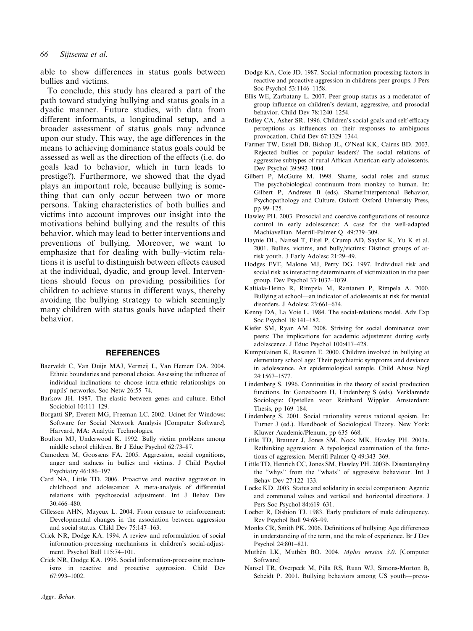able to show differences in status goals between bullies and victims.

To conclude, this study has cleared a part of the path toward studying bullying and status goals in a dyadic manner. Future studies, with data from different informants, a longitudinal setup, and a broader assessment of status goals may advance upon our study. This way, the age differences in the means to achieving dominance status goals could be assessed as well as the direction of the effects (i.e. do goals lead to behavior, which in turn leads to prestige?). Furthermore, we showed that the dyad plays an important role, because bullying is something that can only occur between two or more persons. Taking characteristics of both bullies and victims into account improves our insight into the motivations behind bullying and the results of this behavior, which may lead to better interventions and preventions of bullying. Moreover, we want to emphasize that for dealing with bully–victim relations it is useful to distinguish between effects caused at the individual, dyadic, and group level. Interventions should focus on providing possibilities for children to achieve status in different ways, thereby avoiding the bullying strategy to which seemingly many children with status goals have adapted their behavior.

#### **REFERENCES**

- Baerveldt C, Van Duijn MAJ, Vermeij L, Van Hemert DA. 2004. Ethnic boundaries and personal choice. Assessing the influence of individual inclinations to choose intra-ethnic relationships on pupils' networks. Soc Netw 26:55–74.
- Barkow JH. 1987. The elastic between genes and culture. Ethol Sociobiol 10:111–129.
- Borgatti SP, Everett MG, Freeman LC. 2002. Ucinet for Windows: Software for Social Network Analysis [Computer Software]. Harvard, MA: Analytic Technologies.
- Boulton MJ, Underwood K. 1992. Bully victim problems among middle school children. Br J Educ Psychol 62:73–87.
- Camodeca M, Goossens FA. 2005. Aggression, social cognitions, anger and sadness in bullies and victims. J Child Psychol Psychiatry 46:186–197.
- Card NA, Little TD. 2006. Proactive and reactive aggression in childhood and adolescence: A meta-analysis of differential relations with psychosocial adjustment. Int J Behav Dev 30:466–480.
- Cillessen AHN, Mayeux L. 2004. From censure to reinforcement: Developmental changes in the association between aggression and social status. Child Dev 75:147–163.
- Crick NR, Dodge KA. 1994. A review and reformulation of social information-processing mechanisms in children's social-adjustment. Psychol Bull 115:74–101.
- Crick NR, Dodge KA. 1996. Social information-processing mechanisms in reactive and proactive aggression. Child Dev 67:993–1002.
- Dodge KA, Coie JD. 1987. Social-information-processing factors in reactive and proactive aggression in childrens peer groups. J Pers Soc Psychol 53:1146–1158.
- Ellis WE, Zarbatany L. 2007. Peer group status as a moderator of group influence on children's deviant, aggressive, and prosocial behavior. Child Dev 78:1240–1254.
- Erdley CA, Asher SR. 1996. Children's social goals and self-efficacy perceptions as influences on their responses to ambiguous provocation. Child Dev 67:1329–1344.
- Farmer TW, Estell DB, Bishop JL, O'Neal KK, Cairns BD. 2003. Rejected bullies or popular leaders? The social relations of aggressive subtypes of rural African American early adolescents. Dev Psychol 39:992–1004.
- Gilbert P, McGuire M. 1998. Shame, social roles and status: The psychobiological continuum from monkey to human. In: Gilbert P, Andrews B (eds). Shame:Interpersonal Behavior, Psychopathology and Culture. Oxford: Oxford University Press, pp 99–125.
- Hawley PH. 2003. Prosocial and coercive configurations of resource control in early adolescence: A case for the well-adapted Machiavellian. Merrill-Palmer Q 49:279–309.
- Haynie DL, Nansel T, Eitel P, Crump AD, Saylor K, Yu K et al. 2001. Bullies, victims, and bully/victims: Distinct groups of atrisk youth. J Early Adolesc 21:29–49.
- Hodges EVE, Malone MJ, Perry DG. 1997. Individual risk and social risk as interacting determinants of victimization in the peer group. Dev Psychol 33:1032–1039.
- Kaltiala-Heino R, Rimpela M, Rantanen P, Rimpela A. 2000. Bullying at school—an indicator of adolescents at risk for mental disorders. J Adolesc 23:661–674.
- Kenny DA, La Voie L. 1984. The social-relations model. Adv Exp Soc Psychol 18:141–182.
- Kiefer SM, Ryan AM. 2008. Striving for social dominance over peers: The implications for academic adjustment during early adolescence. J Educ Psychol 100:417–428.
- Kumpulainen K, Rasanen E. 2000. Children involved in bullying at elementary school age: Their psychiatric symptoms and deviance in adolescence. An epidemiological sample. Child Abuse Negl 24:1567–1577.
- Lindenberg S. 1996. Continuities in the theory of social production functions. In: Ganzeboom H, Lindenberg S (eds). Verklarende Sociologie: Opstellen voor Reinhard Wippler. Amsterdam: Thesis, pp 169–184.
- Lindenberg S. 2001. Social rationality versus rational egoism. In: Turner J (ed.). Handbook of Sociological Theory. New York: Kluwer Academic/Plenum, pp 635–668.
- Little TD, Brauner J, Jones SM, Nock MK, Hawley PH. 2003a. Rethinking aggression: A typological examination of the functions of aggression. Merrill-Palmer Q 49:343–369.
- Little TD, Henrich CC, Jones SM, Hawley PH. 2003b. Disentangling the ''whys'' from the ''whats'' of aggressive behaviour. Int J Behav Dev 27:122–133.
- Locke KD. 2003. Status and solidarity in social comparison: Agentic and communal values and vertical and horizontal directions. J Pers Soc Psychol 84:619–631.
- Loeber R, Dishion TJ. 1983. Early predictors of male delinquency. Rev Psychol Bull 94:68–99.
- Monks CR, Smith PK. 2006. Definitions of bullying: Age differences in understanding of the term, and the role of experience. Br J Dev Psychol 24:801–821.
- Muthén LK, Muthén BO. 2004. Mplus version 3.0. [Computer Software]
- Nansel TR, Overpeck M, Pilla RS, Ruan WJ, Simons-Morton B, Scheidt P. 2001. Bullying behaviors among US youth—preva-